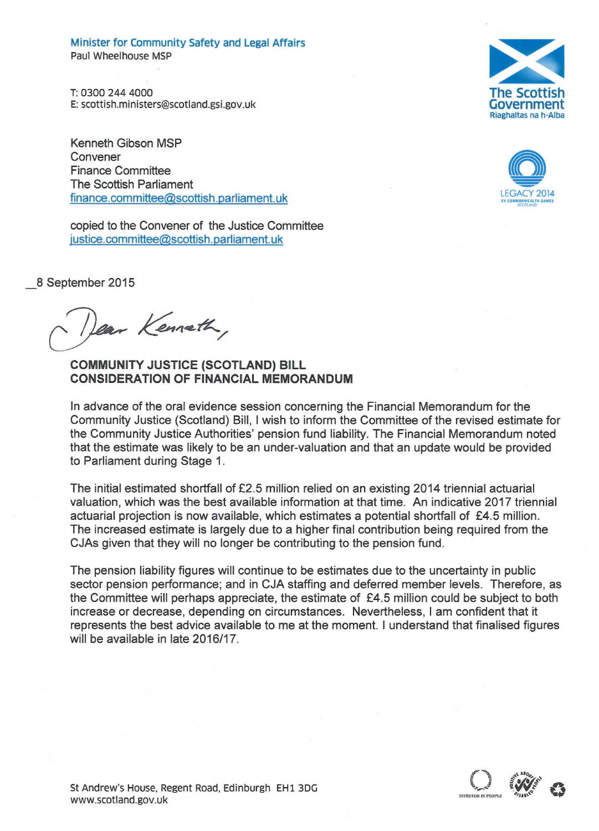Minister for Community Safety and Legal Affairs Paul Wheelhouse MSP

T:0300 244 4000 E: [scottish.ministers@scotland.gsi.gov.uk](mailto:scottish.ministers@scotland.gsi.gov.uk)

Kenneth Gibson MSP Convener Finance Committee The Scottish Parliament  $finance$ .committee@scottish.parliament.uk

copied to the Convener of the Justice Committee [justice.committee@scottish.parliament.uk](mailto:justice.committee@scottish.parliament.uk)

\_8 September 2015

Dear Kenneth,

**COMMUNITY JUSTICE (SCOTLAND) BILL CONSIDERATION OF FINANCIAL MEMORANDUM**

In advance of the oral evidence session concerning the Financial Memorandum for the Community Justice (Scotland) Bill, I wish to inform the Committee of the revised estimate for the Community Justice Authorities' pension fund liability. The Financial Memorandum noted that the estimate was likely to be an under-valuation and that an update would be provided to Parliament during Stage 1.

The initial estimated shortfall of £2.5 million relied on an existing 2014 triennial actuarial valuation, which was the best available information at that time. An indicative 2017 triennial actuarial projection is now available, which estimates a potential shortfall of £4.5 million. The increased estimate is largely due to a higher final contribution being required from the CJAs given that they will no longer be contributing to the pension fund.

The pension liability figures will continue to be estimates due to the uncertainty in public sector pension performance; and in CJA staffing and deferred member levels. Therefore, as the Committee will perhaps appreciate, the estimate of £4.5 million could be subject to both increase or decrease, depending on circumstances. Nevertheless, I am confident that it represents the best advice available to me at the moment. I understand that finalised figures will be available in late *2016/17.*